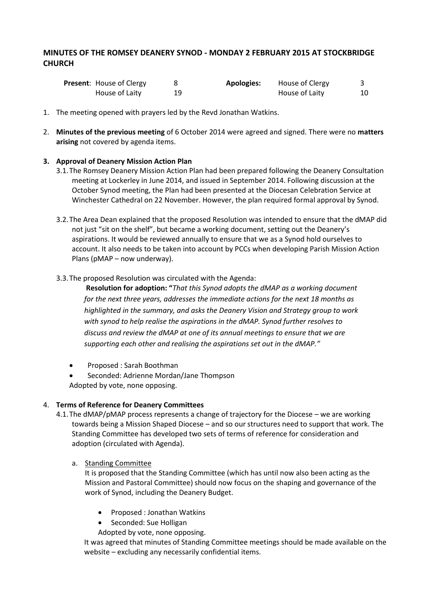# **MINUTES OF THE ROMSEY DEANERY SYNOD - MONDAY 2 FEBRUARY 2015 AT STOCKBRIDGE CHURCH**

| <b>Present:</b> House of Clergy | <b>Apologies:</b> | House of Clergy |    |
|---------------------------------|-------------------|-----------------|----|
| House of Laity                  |                   | House of Laity  | 10 |

- 1. The meeting opened with prayers led by the Revd Jonathan Watkins.
- 2. **Minutes of the previous meeting** of 6 October 2014 were agreed and signed. There were no **matters arising** not covered by agenda items.

# **3. Approval of Deanery Mission Action Plan**

- 3.1.The Romsey Deanery Mission Action Plan had been prepared following the Deanery Consultation meeting at Lockerley in June 2014, and issued in September 2014. Following discussion at the October Synod meeting, the Plan had been presented at the Diocesan Celebration Service at Winchester Cathedral on 22 November. However, the plan required formal approval by Synod.
- 3.2.The Area Dean explained that the proposed Resolution was intended to ensure that the dMAP did not just "sit on the shelf", but became a working document, setting out the Deanery's aspirations. It would be reviewed annually to ensure that we as a Synod hold ourselves to account. It also needs to be taken into account by PCCs when developing Parish Mission Action Plans (pMAP – now underway).
- 3.3.The proposed Resolution was circulated with the Agenda:

**Resolution for adoption: "***That this Synod adopts the dMAP as a working document for the next three years, addresses the immediate actions for the next 18 months as highlighted in the summary, and asks the Deanery Vision and Strategy group to work with synod to help realise the aspirations in the dMAP. Synod further resolves to discuss and review the dMAP at one of its annual meetings to ensure that we are supporting each other and realising the aspirations set out in the dMAP."*

- Proposed : Sarah Boothman
- Seconded: Adrienne Mordan/Jane Thompson Adopted by vote, none opposing.

# 4. **Terms of Reference for Deanery Committees**

- 4.1.The dMAP/pMAP process represents a change of trajectory for the Diocese we are working towards being a Mission Shaped Diocese – and so our structures need to support that work. The Standing Committee has developed two sets of terms of reference for consideration and adoption (circulated with Agenda).
	- a. Standing Committee

It is proposed that the Standing Committee (which has until now also been acting as the Mission and Pastoral Committee) should now focus on the shaping and governance of the work of Synod, including the Deanery Budget.

- Proposed : Jonathan Watkins
- Seconded: Sue Holligan
- Adopted by vote, none opposing.

It was agreed that minutes of Standing Committee meetings should be made available on the website – excluding any necessarily confidential items.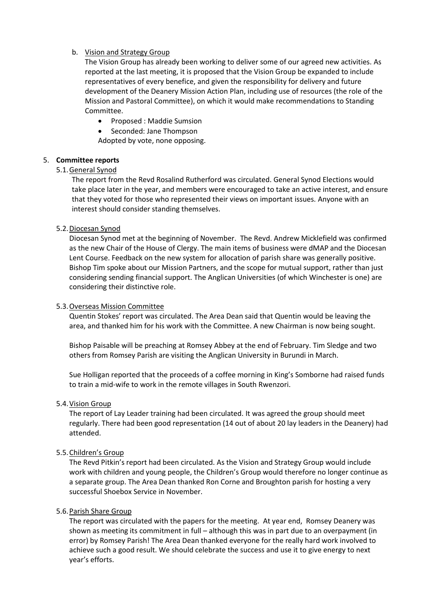## b. Vision and Strategy Group

The Vision Group has already been working to deliver some of our agreed new activities. As reported at the last meeting, it is proposed that the Vision Group be expanded to include representatives of every benefice, and given the responsibility for delivery and future development of the Deanery Mission Action Plan, including use of resources (the role of the Mission and Pastoral Committee), on which it would make recommendations to Standing Committee.

- Proposed : Maddie Sumsion
- Seconded: Jane Thompson

Adopted by vote, none opposing.

## 5. **Committee reports**

## 5.1.General Synod

The report from the Revd Rosalind Rutherford was circulated. General Synod Elections would take place later in the year, and members were encouraged to take an active interest, and ensure that they voted for those who represented their views on important issues. Anyone with an interest should consider standing themselves.

## 5.2.Diocesan Synod

Diocesan Synod met at the beginning of November. The Revd. Andrew Micklefield was confirmed as the new Chair of the House of Clergy. The main items of business were dMAP and the Diocesan Lent Course. Feedback on the new system for allocation of parish share was generally positive. Bishop Tim spoke about our Mission Partners, and the scope for mutual support, rather than just considering sending financial support. The Anglican Universities (of which Winchester is one) are considering their distinctive role.

#### 5.3.Overseas Mission Committee

Quentin Stokes' report was circulated. The Area Dean said that Quentin would be leaving the area, and thanked him for his work with the Committee. A new Chairman is now being sought.

Bishop Paisable will be preaching at Romsey Abbey at the end of February. Tim Sledge and two others from Romsey Parish are visiting the Anglican University in Burundi in March.

Sue Holligan reported that the proceeds of a coffee morning in King's Somborne had raised funds to train a mid-wife to work in the remote villages in South Rwenzori.

#### 5.4.Vision Group

The report of Lay Leader training had been circulated. It was agreed the group should meet regularly. There had been good representation (14 out of about 20 lay leaders in the Deanery) had attended.

#### 5.5.Children's Group

The Revd Pitkin's report had been circulated. As the Vision and Strategy Group would include work with children and young people, the Children's Group would therefore no longer continue as a separate group. The Area Dean thanked Ron Corne and Broughton parish for hosting a very successful Shoebox Service in November.

#### 5.6.Parish Share Group

The report was circulated with the papers for the meeting. At year end, Romsey Deanery was shown as meeting its commitment in full – although this was in part due to an overpayment (in error) by Romsey Parish! The Area Dean thanked everyone for the really hard work involved to achieve such a good result. We should celebrate the success and use it to give energy to next year's efforts.